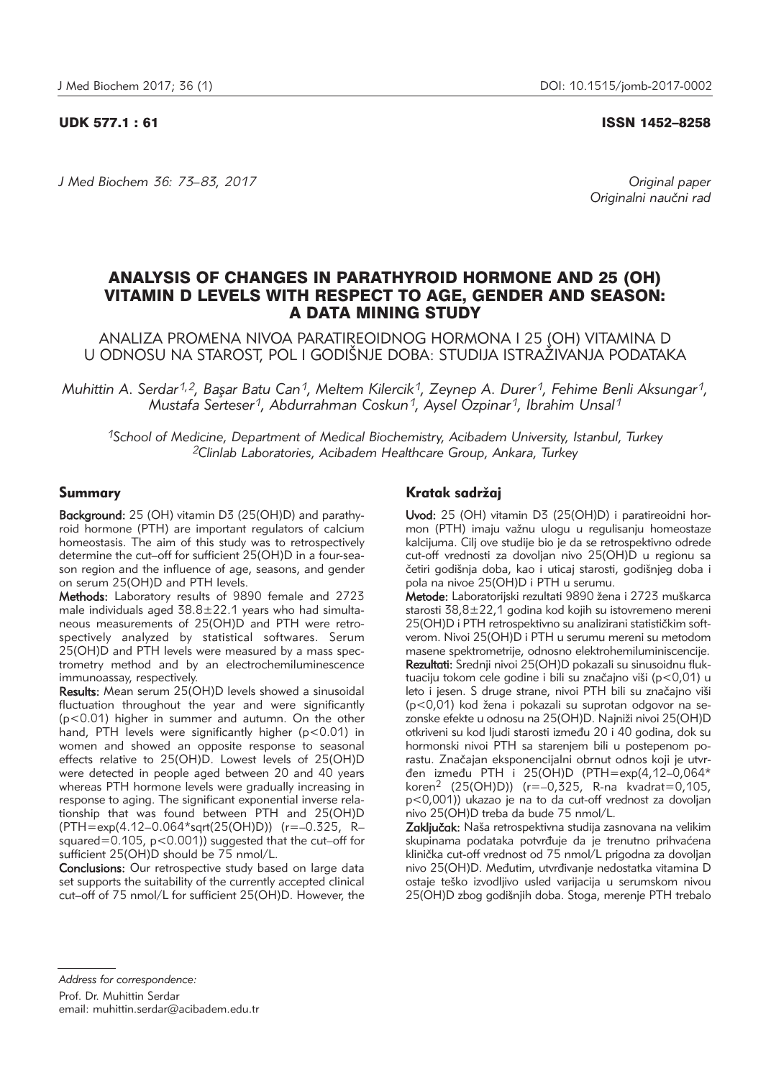UDK 577.1 : 61 ISSN 1452–8258

*J Med Biochem 36: 73–83, 2017 Original paper*

Originalni naučni rad

# ANALYSIS OF CHANGES IN PARATHYROID HORMONE AND 25 (OH) VITAMIN D LEVELS WITH RESPECT TO AGE, GENDER AND SEASON: A DATA MINING STUDY

ANALIZA PROMENA NIVOA PARATIREOIDNOG HORMONA I 25 (OH) VITAMINA D U ODNOSU NA STAROST, POL I GODIŠNJE DOBA: STUDIJA ISTRAŽIVANJA PODATAKA

*Muhittin A. Serdar1,2, Bas¸ar Batu Can1, Meltem Kilercik1, Zeynep A. Durer1, Fehime Benli Aksungar1, Mustafa Serteser1, Abdurrahman Coskun1, Aysel Ozpinar1, Ibrahim Unsal1*

*1School of Medicine, Department of Medical Biochemistry, Acibadem University, Istanbul, Turkey 2Clinlab Laboratories, Acibadem Healthcare Group, Ankara, Turkey*

# Summary

Background: 25 (OH) vitamin D3 (25(OH)D) and parathyroid hormone (PTH) are important regulators of calcium homeostasis. The aim of this study was to retrospectively determine the cut–off for sufficient 25(OH)D in a four-season region and the influence of age, seasons, and gender on serum 25(OH)D and PTH levels.

Methods: Laboratory results of 9890 female and 2723 male individuals aged 38.8±22.1 years who had simultaneous measurements of 25(OH)D and PTH were retrospectively analyzed by statistical softwares. Serum 25(OH)D and PTH levels were measured by a mass spectrometry method and by an electrochemiluminescence immunoassay, respectively.

Results: Mean serum 25(OH)D levels showed a sinusoidal fluctuation throughout the year and were significantly (p<0.01) higher in summer and autumn. On the other hand, PTH levels were significantly higher (p<0.01) in women and showed an opposite response to seasonal effects relative to 25(OH)D. Lowest levels of 25(OH)D were detected in people aged between 20 and 40 years whereas PTH hormone levels were gradually increasing in response to aging. The significant exponential inverse relationship that was found between PTH and 25(OH)D (PTH=exp(4.12–0.064\*sqrt(25(OH)D)) (r=–0.325, R– squared=0.105, p<0.001)) suggested that the cut–off for sufficient 25(OH)D should be 75 nmol/L.

Conclusions: Our retrospective study based on large data set supports the suitability of the currently accepted clinical cut–off of 75 nmol/L for sufficient 25(OH)D. However, the

# Kratak sadržaj

Uvod: 25 (OH) vitamin D3 (25(OH)D) i paratireoidni hormon (PTH) imaju važnu ulogu u regulisanju homeostaze kalcijuma. Cilj ove studije bio je da se retrospektivno odrede cut-off vrednosti za dovoljan nivo 25(OH)D u regionu sa četiri godišnja doba, kao i uticaj starosti, godišnjeg doba i pola na nivoe 25(OH)D i PTH u serumu.

Metode: Laboratorijski rezultati 9890 žena i 2723 muškarca starosti 38,8±22,1 godina kod kojih su istovremeno mereni 25(OH)D i PTH retrospektivno su analizirani statističkim softverom. Nivoi 25(OH)D i PTH u serumu mereni su metodom masene spektrometrije, odnosno elektrohemiluminiscencije. Rezultati: Srednji nivoi 25(OH)D pokazali su sinusoidnu fluktuaciju tokom cele godine i bili su značajno viši (p<0,01) u leto i jesen. S druge strane, nivoi PTH bili su značajno viši (p<0,01) kod žena i pokazali su suprotan odgovor na sezonske efekte u odnosu na 25(OH)D. Najniži nivoi 25(OH)D otkriveni su kod ljudi starosti između 20 i 40 godina, dok su hormonski nivoi PTH sa starenjem bili u postepenom porastu. Značajan eksponencijalni obrnut odnos koji je utvr $den$  između PTH i 25(OH)D (PTH=exp(4,12–0,064\* koren2 (25(OH)D)) (r=–0,325, R-na kvadrat=0,105, p<0,001)) ukazao je na to da cut-off vrednost za dovoljan nivo 25(OH)D treba da bude 75 nmol/L.

Zaključak: Naša retrospektivna studija zasnovana na velikim skupinama podataka potvrđuje da je trenutno prihvaćena klinička cut-off vrednost od 75 nmol/L prigodna za dovoljan nivo 25(OH)D. Međutim, utvrđivanje nedostatka vitamina D ostaje teško izvodljivo usled varijacija u serumskom nivou 25(OH)D zbog godišnjih doba. Stoga, merenje PTH trebalo

*Address for correspondence:* Prof. Dr. Muhittin Serdar email: muhittin.serdar@acibadem.edu.tr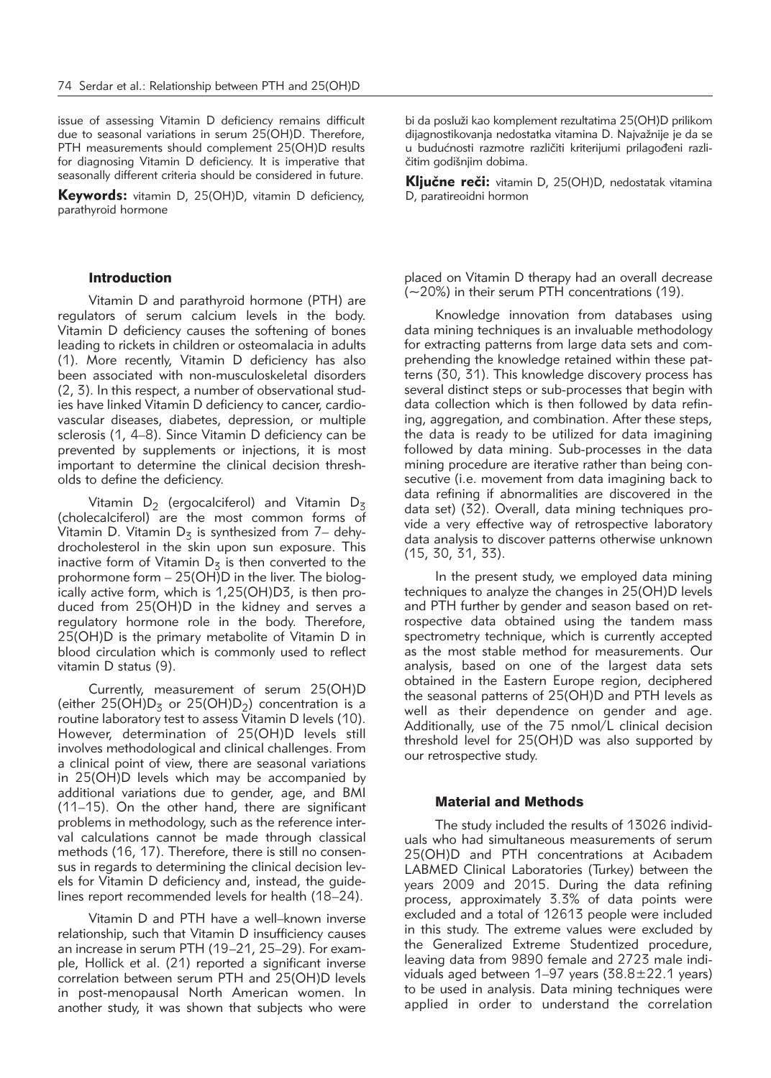issue of assessing Vitamin D deficiency remains difficult due to seasonal variations in serum 25(OH)D. Therefore, PTH measurements should complement 25(OH)D results for diagnosing Vitamin D deficiency. It is imperative that seasonally different criteria should be considered in future.

Keywords: vitamin D, 25(OH)D, vitamin D deficiency, parathyroid hormone

### Introduction

Vitamin D and parathyroid hormone (PTH) are regulators of serum calcium levels in the body. Vitamin D deficiency causes the softening of bones leading to rickets in children or osteomalacia in adults (1). More recently, Vitamin D deficiency has also been associated with non-musculoskeletal disorders (2, 3). In this respect, a number of observational studies have linked Vitamin D deficiency to cancer, cardiovascular diseases, diabetes, depression, or multiple sclerosis (1, 4–8). Since Vitamin D deficiency can be prevented by supplements or injections, it is most important to determine the clinical decision thresholds to define the deficiency.

Vitamin  $D_2$  (ergocalciferol) and Vitamin  $D_3$ (cholecalciferol) are the most common forms of Vitamin D. Vitamin  $D_5$  is synthesized from 7– dehydrocholesterol in the skin upon sun exposure. This inactive form of Vitamin  $D_5$  is then converted to the prohormone form  $-25(OH)D$  in the liver. The biologically active form, which is 1,25(OH)D3, is then produced from 25(OH)D in the kidney and serves a regulatory hormone role in the body. Therefore, 25(OH)D is the primary metabolite of Vitamin D in blood circulation which is commonly used to reflect vitamin D status (9).

Currently, measurement of serum 25(OH)D (either 25(OH) $D_3$  or 25(OH) $D_2$ ) concentration is a routine laboratory test to assess Vitamin D levels (10). However, determination of 25(OH)D levels still involves methodological and clinical challenges. From a clinical point of view, there are seasonal variations in 25(OH)D levels which may be accompanied by additional variations due to gender, age, and BMI (11–15). On the other hand, there are significant problems in methodology, such as the reference interval calculations cannot be made through classical methods (16, 17). Therefore, there is still no consensus in regards to determining the clinical decision levels for Vitamin D deficiency and, instead, the guidelines report recommended levels for health (18–24).

Vitamin D and PTH have a well–known inverse relationship, such that Vitamin D insufficiency causes an increase in serum PTH (19–21, 25–29). For example, Hollick et al. (21) reported a significant inverse correlation between serum PTH and 25(OH)D levels in post-menopausal North American women. In another study, it was shown that subjects who were

bi da posluži kao komplement rezultatima 25(OH)D prilikom dijagnostikovanja nedostatka vitamina D. Najvažnije je da se u budućnosti razmotre različiti kriterijumi prilagođeni različitim godišnjim dobima.

Ključne reči: vitamin D, 25(OH)D, nedostatak vitamina D, paratireoidni hormon

placed on Vitamin D therapy had an overall decrease (∼20%) in their serum PTH concentrations (19).

Knowledge innovation from databases using data mining techniques is an invaluable methodology for extracting patterns from large data sets and comprehending the knowledge retained within these patterns (30, 31). This knowledge discovery process has several distinct steps or sub-processes that begin with data collection which is then followed by data refining, aggregation, and combination. After these steps, the data is ready to be utilized for data imagining followed by data mining. Sub-processes in the data mining procedure are iterative rather than being consecutive (i.e. movement from data imagining back to data refining if abnormalities are discovered in the data set) (32). Overall, data mining techniques provide a very effective way of retrospective laboratory data analysis to discover patterns otherwise unknown (15, 30, 31, 33).

In the present study, we employed data mining techniques to analyze the changes in 25(OH)D levels and PTH further by gender and season based on retrospective data obtained using the tandem mass spectrometry technique, which is currently accepted as the most stable method for measurements. Our analysis, based on one of the largest data sets obtained in the Eastern Europe region, deciphered the seasonal patterns of 25(OH)D and PTH levels as well as their dependence on gender and age. Additionally, use of the 75 nmol/L clinical decision threshold level for 25(OH)D was also supported by our retrospective study.

#### Material and Methods

The study included the results of 13026 individuals who had simultaneous measurements of serum 25(OH)D and PTH concentrations at Acıbadem LABMED Clinical Laboratories (Turkey) between the years 2009 and 2015. During the data refining process, approximately 3.3% of data points were excluded and a total of 12613 people were included in this study. The extreme values were excluded by the Generalized Extreme Studentized procedure, leaving data from 9890 female and 2723 male individuals aged between 1–97 years (38.8±22.1 years) to be used in analysis. Data mining techniques were applied in order to understand the correlation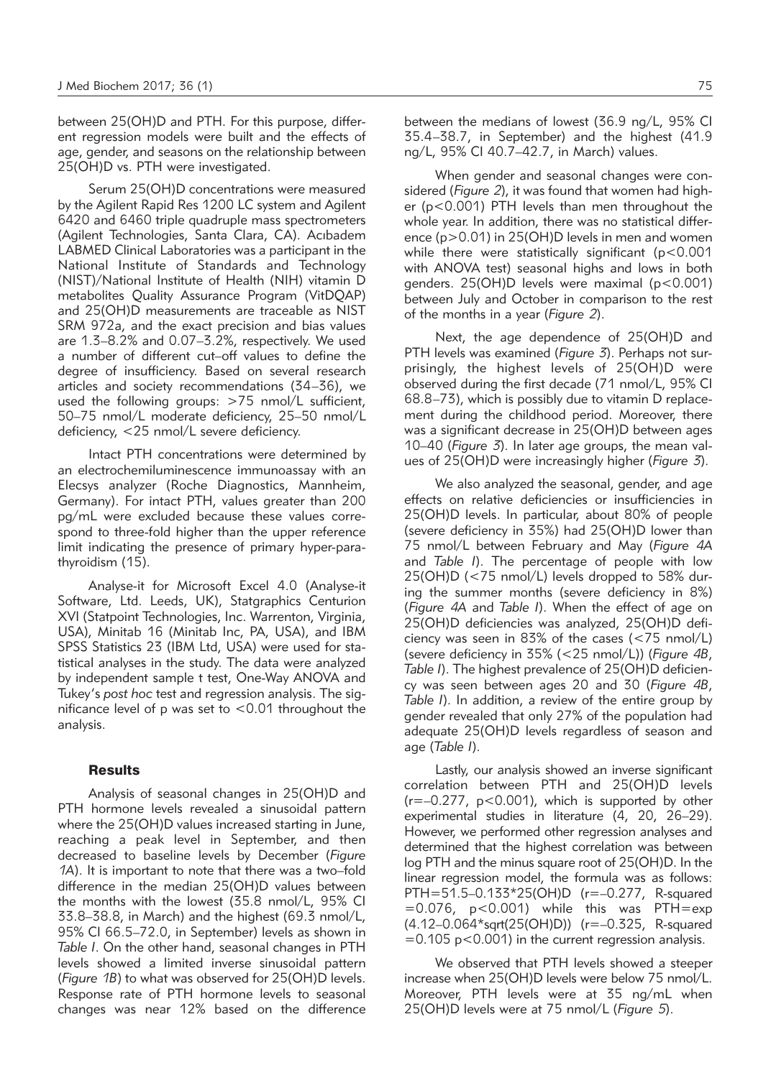between 25(OH)D and PTH. For this purpose, different regression models were built and the effects of age, gender, and seasons on the relationship between 25(OH)D vs. PTH were investigated.

Serum 25(OH)D concentrations were measured by the Agilent Rapid Res 1200 LC system and Agilent 6420 and 6460 triple quadruple mass spectrometers (Agilent Technologies, Santa Clara, CA). Acıbadem LABMED Clinical Laboratories was a participant in the National Institute of Standards and Technology (NIST)/National Institute of Health (NIH) vitamin D metabolites Quality Assurance Program (VitDQAP) and 25(OH)D measurements are traceable as NIST SRM 972a, and the exact precision and bias values are 1.3–8.2% and 0.07–3.2%, respectively. We used a number of different cut–off values to define the degree of insufficiency. Based on several research articles and society recommendations (34–36), we used the following groups: >75 nmol/L sufficient, 50–75 nmol/L moderate deficiency, 25–50 nmol/L deficiency, <25 nmol/L severe deficiency.

Intact PTH concentrations were determined by an electrochemiluminescence immunoassay with an Elecsys analyzer (Roche Diagnostics, Mannheim, Germany). For intact PTH, values greater than 200 pg/mL were excluded because these values correspond to three-fold higher than the upper reference limit indicating the presence of primary hyper-parathyroidism (15).

Analyse-it for Microsoft Excel 4.0 (Analyse-it Software, Ltd. Leeds, UK), Statgraphics Centurion XVI (Statpoint Technologies, Inc. Warrenton, Virginia, USA), Minitab 16 (Minitab Inc, PA, USA), and IBM SPSS Statistics 23 (IBM Ltd, USA) were used for statistical analyses in the study. The data were analyzed by independent sample t test, One-Way ANOVA and Tukey's *post hoc* test and regression analysis. The significance level of p was set to <0.01 throughout the analysis.

#### **Results**

Analysis of seasonal changes in 25(OH)D and PTH hormone levels revealed a sinusoidal pattern where the 25(OH)D values increased starting in June, reaching a peak level in September, and then decreased to baseline levels by December (*Figure 1A*). It is important to note that there was a two–fold difference in the median 25(OH)D values between the months with the lowest (35.8 nmol/L, 95% CI 33.8–38.8, in March) and the highest (69.3 nmol/L, 95% CI 66.5–72.0, in September) levels as shown in *Table I*. On the other hand, seasonal changes in PTH levels showed a limited inverse sinusoidal pattern (*Figure 1B*) to what was observed for 25(OH)D levels. Response rate of PTH hormone levels to seasonal changes was near 12% based on the difference between the medians of lowest (36.9 ng/L, 95% CI 35.4–38.7, in September) and the highest (41.9 ng/L, 95% CI 40.7–42.7, in March) values.

When gender and seasonal changes were considered (*Figure 2*), it was found that women had higher (p<0.001) PTH levels than men throughout the whole year. In addition, there was no statistical difference (p>0.01) in 25(OH)D levels in men and women while there were statistically significant  $(p<0.001$ with ANOVA test) seasonal highs and lows in both genders. 25(OH)D levels were maximal (p<0.001) between July and October in comparison to the rest of the months in a year (*Figure 2*).

Next, the age dependence of 25(OH)D and PTH levels was examined (*Figure 3*). Perhaps not surprisingly, the highest levels of 25(OH)D were observed during the first decade (71 nmol/L, 95% CI 68.8–73), which is possibly due to vitamin D replacement during the childhood period. Moreover, there was a significant decrease in 25(OH)D between ages 10–40 (*Figure 3*). In later age groups, the mean values of 25(OH)D were increasingly higher (*Figure 3*).

We also analyzed the seasonal, gender, and age effects on relative deficiencies or insufficiencies in 25(OH)D levels. In particular, about 80% of people (severe deficiency in 35%) had 25(OH)D lower than 75 nmol/L between February and May (*Figure 4A* and *Table I*). The percentage of people with low 25(OH)D (<75 nmol/L) levels dropped to 58% during the summer months (severe deficiency in 8%) (*Figure 4A* and *Table I*). When the effect of age on 25(OH)D deficiencies was analyzed, 25(OH)D deficiency was seen in 83% of the cases (<75 nmol/L) (severe deficiency in 35% (<25 nmol/L)) (*Figure 4B*, *Table I*). The highest prevalence of 25(OH)D deficiency was seen between ages 20 and 30 (*Figure 4B*, *Table I*). In addition, a review of the entire group by gender revealed that only 27% of the population had adequate 25(OH)D levels regardless of season and age (*Table I*).

Lastly, our analysis showed an inverse significant correlation between PTH and 25(OH)D levels  $(r=-0.277, p<0.001)$ , which is supported by other experimental studies in literature (4, 20, 26–29). However, we performed other regression analyses and determined that the highest correlation was between log PTH and the minus square root of 25(OH)D. In the linear regression model, the formula was as follows: PTH=51.5–0.133\*25(OH)D (r=–0.277, R-squared  $=0.076$ ,  $p < 0.001$ ) while this was PTH $=$ exp (4.12–0.064\*sqrt(25(OH)D)) (r=–0.325, R-squared  $=0.105$  p $< 0.001$ ) in the current regression analysis.

We observed that PTH levels showed a steeper increase when 25(OH)D levels were below 75 nmol/L. Moreover, PTH levels were at 35 ng/mL when 25(OH)D levels were at 75 nmol/L (*Figure 5*).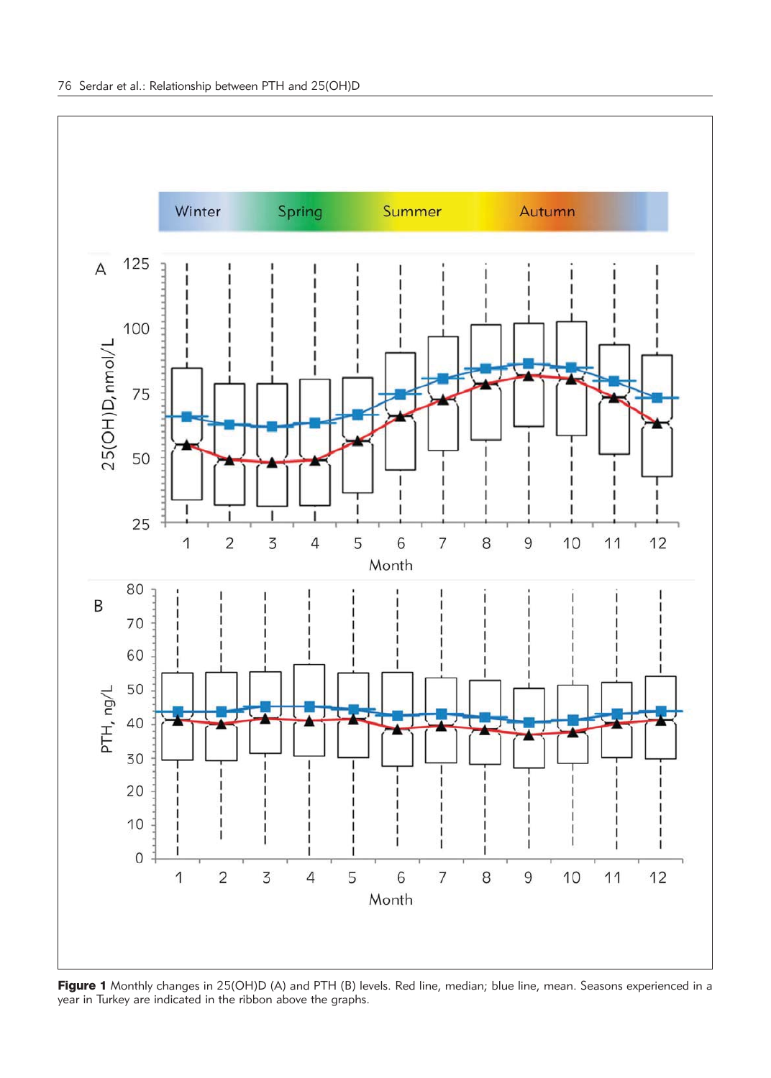

Figure 1 Monthly changes in 25(OH)D (A) and PTH (B) levels. Red line, median; blue line, mean. Seasons experienced in a year in Turkey are indicated in the ribbon above the graphs.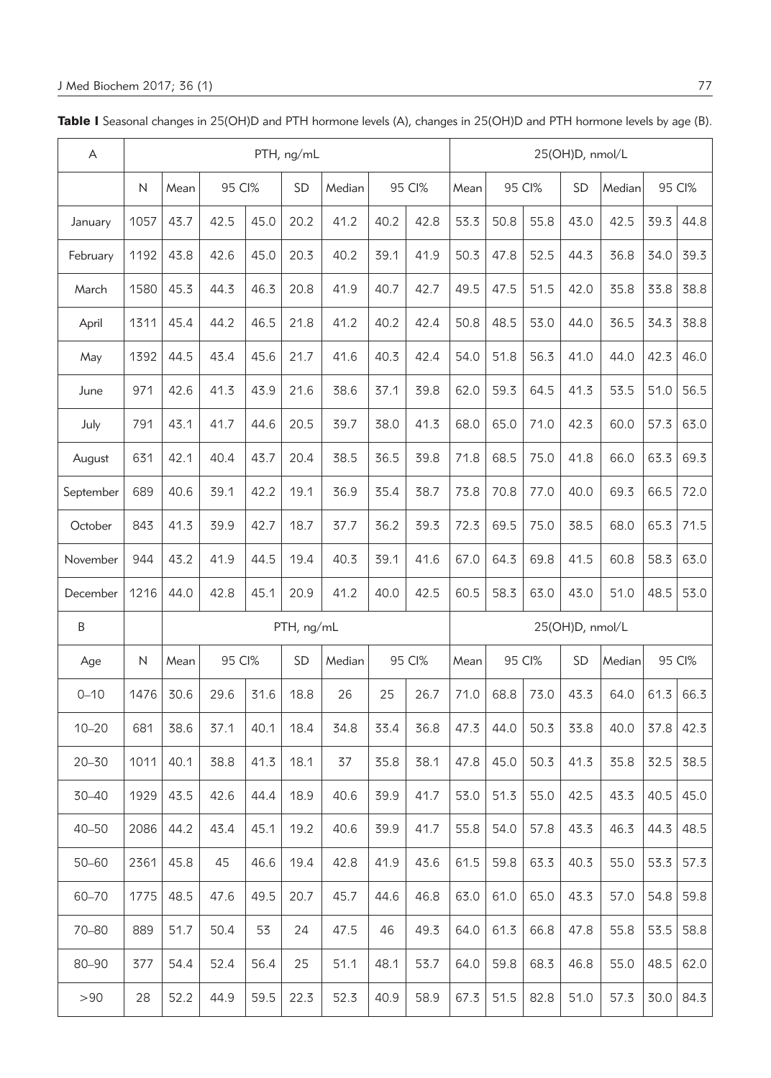| A         | PTH, ng/mL   |                               |        |      |           |        |      |        | 25(OH)D, nmol/L |      |        |           |        |        |        |
|-----------|--------------|-------------------------------|--------|------|-----------|--------|------|--------|-----------------|------|--------|-----------|--------|--------|--------|
|           | $\mathsf{N}$ | Mean                          | 95 CI% |      | <b>SD</b> | Median |      | 95 CI% | Mean            |      | 95 CI% | <b>SD</b> | Median | 95 Cl% |        |
| January   | 1057         | 43.7                          | 42.5   | 45.0 | 20.2      | 41.2   | 40.2 | 42.8   | 53.3            | 50.8 | 55.8   | 43.0      | 42.5   | 39.3   | 44.8   |
| February  | 1192         | 43.8                          | 42.6   | 45.0 | 20.3      | 40.2   | 39.1 | 41.9   | 50.3            | 47.8 | 52.5   | 44.3      | 36.8   | 34.0   | 39.3   |
| March     | 1580         | 45.3                          | 44.3   | 46.3 | 20.8      | 41.9   | 40.7 | 42.7   | 49.5            | 47.5 | 51.5   | 42.0      | 35.8   | 33.8   | 38.8   |
| April     | 1311         | 45.4                          | 44.2   | 46.5 | 21.8      | 41.2   | 40.2 | 42.4   | 50.8            | 48.5 | 53.0   | 44.0      | 36.5   | 34.3   | 38.8   |
| May       | 1392         | 44.5                          | 43.4   | 45.6 | 21.7      | 41.6   | 40.3 | 42.4   | 54.0            | 51.8 | 56.3   | 41.0      | 44.0   | 42.3   | 46.0   |
| June      | 971          | 42.6                          | 41.3   | 43.9 | 21.6      | 38.6   | 37.1 | 39.8   | 62.0            | 59.3 | 64.5   | 41.3      | 53.5   | 51.0   | 56.5   |
| July      | 791          | 43.1                          | 41.7   | 44.6 | 20.5      | 39.7   | 38.0 | 41.3   | 68.0            | 65.0 | 71.0   | 42.3      | 60.0   | 57.3   | 63.0   |
| August    | 631          | 42.1                          | 40.4   | 43.7 | 20.4      | 38.5   | 36.5 | 39.8   | 71.8            | 68.5 | 75.0   | 41.8      | 66.0   | 63.3   | 69.3   |
| September | 689          | 40.6                          | 39.1   | 42.2 | 19.1      | 36.9   | 35.4 | 38.7   | 73.8            | 70.8 | 77.0   | 40.0      | 69.3   | 66.5   | 72.0   |
| October   | 843          | 41.3                          | 39.9   | 42.7 | 18.7      | 37.7   | 36.2 | 39.3   | 72.3            | 69.5 | 75.0   | 38.5      | 68.0   | 65.3   | 71.5   |
| November  | 944          | 43.2                          | 41.9   | 44.5 | 19.4      | 40.3   | 39.1 | 41.6   | 67.0            | 64.3 | 69.8   | 41.5      | 60.8   | 58.3   | 63.0   |
| December  | 1216         | 44.0                          | 42.8   | 45.1 | 20.9      | 41.2   | 40.0 | 42.5   | 60.5            | 58.3 | 63.0   | 43.0      | 51.0   | 48.5   | 53.0   |
| B         |              | PTH, ng/mL<br>25(OH)D, nmol/L |        |      |           |        |      |        |                 |      |        |           |        |        |        |
| Age       | $\mathsf{N}$ | Mean                          | 95 CI% |      | SD        | Median |      | 95 CI% | Mean            |      | 95 CI% | <b>SD</b> | Median |        | 95 CI% |
| $0 - 10$  | 1476         | 30.6                          | 29.6   | 31.6 | 18.8      | 26     | 25   | 26.7   | 71.0            | 68.8 | 73.0   | 43.3      | 64.0   | 61.3   | 66.3   |
| $10 - 20$ | 681          | 38.6                          | 37.1   | 40.1 | 18.4      | 34.8   | 33.4 | 36.8   | 47.3            | 44.0 | 50.3   | 33.8      | 40.0   | 37.8   | 42.3   |
| $20 - 30$ | 1011         | 40.1                          | 38.8   | 41.3 | 18.1      | 37     | 35.8 | 38.1   | 47.8            | 45.0 | 50.3   | 41.3      | 35.8   | 32.5   | 38.5   |
| $30 - 40$ | 1929         | 43.5                          | 42.6   | 44.4 | 18.9      | 40.6   | 39.9 | 41.7   | 53.0            | 51.3 | 55.0   | 42.5      | 43.3   | 40.5   | 45.0   |
| $40 - 50$ | 2086         | 44.2                          | 43.4   | 45.1 | 19.2      | 40.6   | 39.9 | 41.7   | 55.8            | 54.0 | 57.8   | 43.3      | 46.3   | 44.3   | 48.5   |
| $50 - 60$ | 2361         | 45.8                          | 45     | 46.6 | 19.4      | 42.8   | 41.9 | 43.6   | 61.5            | 59.8 | 63.3   | 40.3      | 55.0   | 53.3   | 57.3   |
| $60 - 70$ | 1775         | 48.5                          | 47.6   | 49.5 | 20.7      | 45.7   | 44.6 | 46.8   | 63.0            | 61.0 | 65.0   | 43.3      | 57.0   | 54.8   | 59.8   |
| 70-80     | 889          | 51.7                          | 50.4   | 53   | 24        | 47.5   | 46   | 49.3   | 64.0            | 61.3 | 66.8   | 47.8      | 55.8   | 53.5   | 58.8   |
| 80-90     | 377          | 54.4                          | 52.4   | 56.4 | 25        | 51.1   | 48.1 | 53.7   | 64.0            | 59.8 | 68.3   | 46.8      | 55.0   | 48.5   | 62.0   |
| > 90      | 28           | 52.2                          | 44.9   | 59.5 | 22.3      | 52.3   | 40.9 | 58.9   | 67.3            | 51.5 | 82.8   | 51.0      | 57.3   | 30.0   | 84.3   |

Table I Seasonal changes in 25(OH)D and PTH hormone levels (A), changes in 25(OH)D and PTH hormone levels by age (B).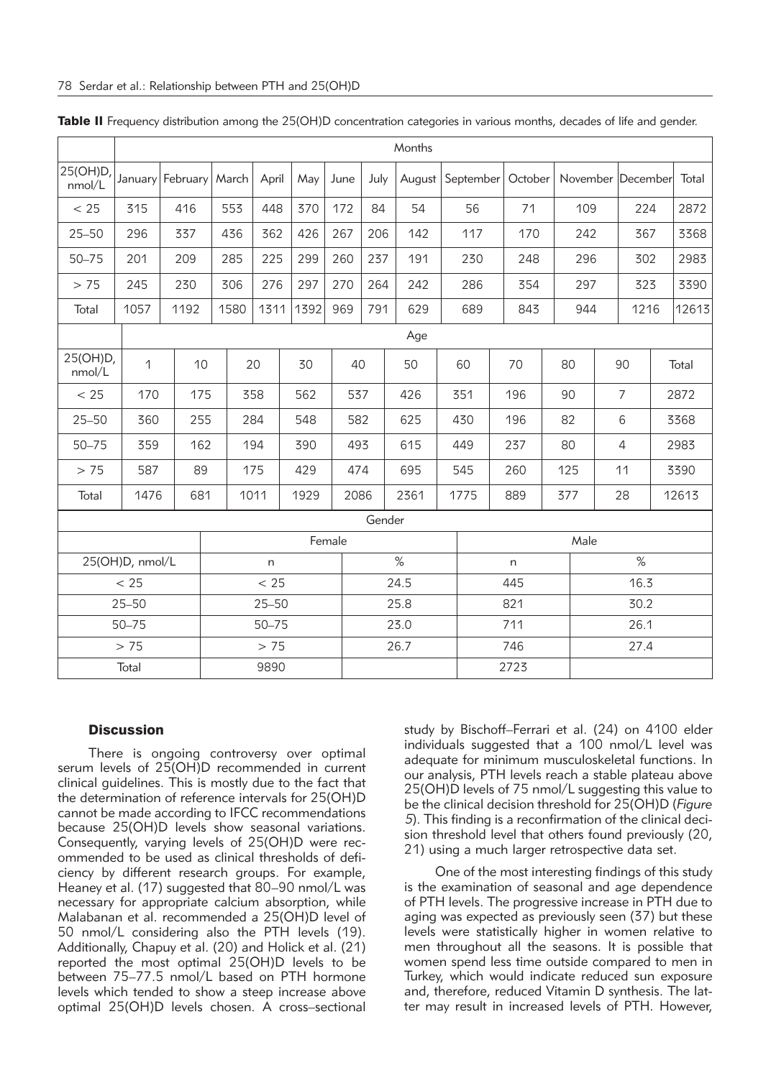|                    | Months  |          |           |       |      |      |        |      |                  |         |     |  |                   |       |  |
|--------------------|---------|----------|-----------|-------|------|------|--------|------|------------------|---------|-----|--|-------------------|-------|--|
| 25(OH)D,<br>nmol/L | January | February | March     | April | May  | June | July   |      | August September | October |     |  | November December | Total |  |
| < 25               | 315     | 416      | 553       | 448   | 370  | 172  | 84     | 54   | 56               | 71      | 109 |  | 224               | 2872  |  |
| $25 - 50$          | 296     | 337      | 436       | 362   | 426  | 267  | 206    | 142  | 117              | 170     | 242 |  | 367               | 3368  |  |
| $50 - 75$          | 201     | 209      | 285       | 225   | 299  | 260  | 237    | 191  | 230              | 248     | 296 |  | 302               | 2983  |  |
| > 75               | 245     | 230      | 306       | 276   | 297  | 270  | 264    | 242  | 286              | 354     | 297 |  | 323               | 3390  |  |
| Total              | 1057    | 1192     | 1580      | 1311  | 1392 | 969  | 791    | 629  | 689              | 843     | 944 |  | 1216              | 12613 |  |
|                    | Age     |          |           |       |      |      |        |      |                  |         |     |  |                   |       |  |
| 25(OH)D,<br>nmol/L | 1       | 10<br>20 |           |       | 30   | 40   |        | 50   | 60               | 70      | 80  |  | 90                | Total |  |
| < 25               | 170     | 175      |           | 358   | 562  | 537  |        | 426  | 351              | 196     | 90  |  | $\overline{7}$    | 2872  |  |
| $25 - 50$          | 360     | 255      |           | 284   | 548  |      | 582    | 625  | 430              | 196     | 82  |  | 6                 | 3368  |  |
| $50 - 75$          | 359     | 162      |           | 194   | 390  | 493  |        | 615  | 449              | 237     | 80  |  | $\overline{4}$    | 2983  |  |
| > 75               | 587     | 89       |           | 175   | 429  | 474  |        | 695  | 545              | 260     | 125 |  | 11                | 3390  |  |
| Total              | 1476    | 681      |           | 1011  | 1929 | 2086 |        | 2361 | 1775             | 889     | 377 |  | 12613<br>28       |       |  |
|                    |         |          |           |       |      |      | Gender |      |                  |         |     |  |                   |       |  |
| Female             |         |          |           |       |      |      |        |      |                  | Male    |     |  |                   |       |  |
| 25(OH)D, nmol/L    |         |          |           | n     |      |      |        | %    |                  | n       |     |  | $\%$              |       |  |
| < 25               |         |          | < 25      |       |      |      |        | 24.5 |                  | 445     |     |  | 16.3              |       |  |
| $25 - 50$          |         |          | $25 - 50$ |       |      |      |        | 25.8 |                  | 821     |     |  | 30.2              |       |  |
| $50 - 75$          |         |          | $50 - 75$ |       |      |      |        | 23.0 |                  | 711     |     |  | 26.1              |       |  |
| >75                |         |          | > 75      |       |      |      |        | 26.7 |                  | 746     |     |  | 27.4              |       |  |
| Total              |         |          |           | 9890  |      |      |        |      |                  | 2723    |     |  |                   |       |  |

|  |  | Table II Frequency distribution among the 25(OH)D concentration categories in various months, decades of life and gender. |  |  |  |  |
|--|--|---------------------------------------------------------------------------------------------------------------------------|--|--|--|--|
|  |  |                                                                                                                           |  |  |  |  |

## **Discussion**

There is ongoing controversy over optimal serum levels of 25(OH)D recommended in current clinical guidelines. This is mostly due to the fact that the determination of reference intervals for 25(OH)D cannot be made according to IFCC recommendations because 25(OH)D levels show seasonal variations. Consequently, varying levels of 25(OH)D were recommended to be used as clinical thresholds of deficiency by different research groups. For example, Heaney et al. (17) suggested that 80–90 nmol/L was necessary for appropriate calcium absorption, while Malabanan et al. recommended a 25(OH)D level of 50 nmol/L considering also the PTH levels (19). Additionally, Chapuy et al. (20) and Holick et al. (21) reported the most optimal 25(OH)D levels to be between 75–77.5 nmol/L based on PTH hormone levels which tended to show a steep increase above optimal 25(OH)D levels chosen. A cross–sectional

study by Bischoff–Ferrari et al. (24) on 4100 elder individuals suggested that a 100 nmol/L level was adequate for minimum musculoskeletal functions. In our analysis, PTH levels reach a stable plateau above 25(OH)D levels of 75 nmol/L suggesting this value to be the clinical decision threshold for 25(OH)D (*Figure 5*). This finding is a reconfirmation of the clinical decision threshold level that others found previously (20, 21) using a much larger retrospective data set.

One of the most interesting findings of this study is the examination of seasonal and age dependence of PTH levels. The progressive increase in PTH due to aging was expected as previously seen (37) but these levels were statistically higher in women relative to men throughout all the seasons. It is possible that women spend less time outside compared to men in Turkey, which would indicate reduced sun exposure and, therefore, reduced Vitamin D synthesis. The latter may result in increased levels of PTH. However,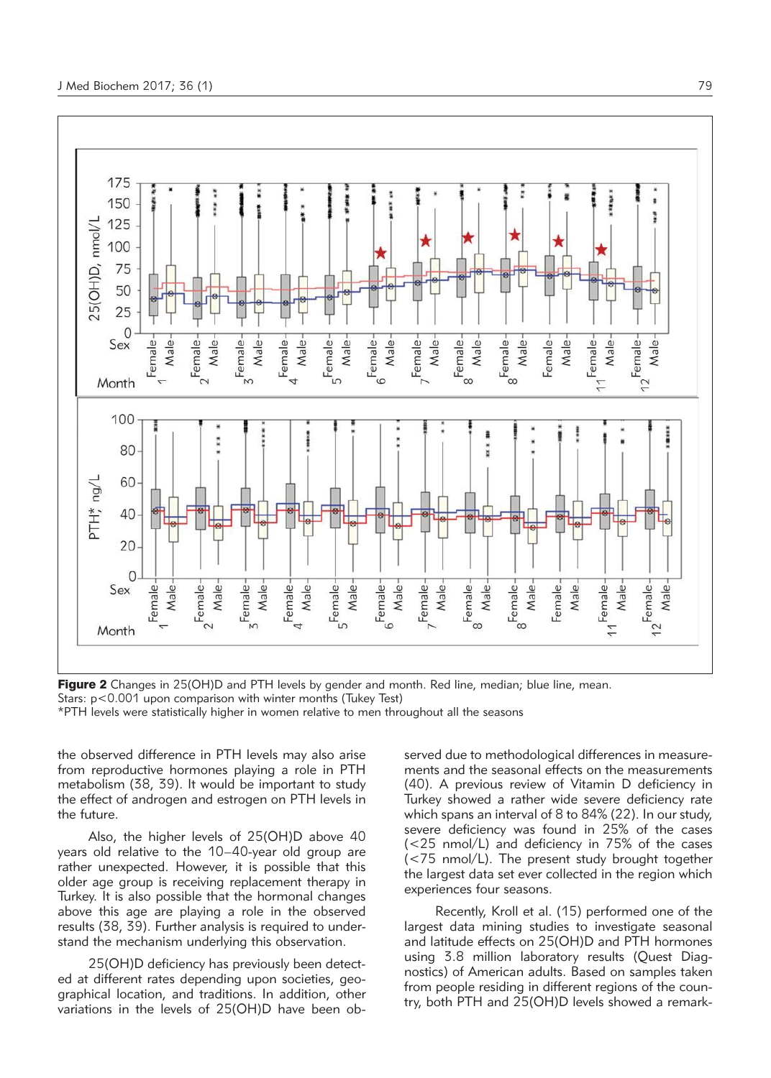

Figure 2 Changes in 25(OH)D and PTH levels by gender and month. Red line, median; blue line, mean. Stars: p<0.001 upon comparison with winter months (Tukey Test)

\*PTH levels were statistically higher in women relative to men throughout all the seasons

the observed difference in PTH levels may also arise from reproductive hormones playing a role in PTH metabolism (38, 39). It would be important to study the effect of androgen and estrogen on PTH levels in the future.

Also, the higher levels of 25(OH)D above 40 years old relative to the 10–40-year old group are rather unexpected. However, it is possible that this older age group is receiving replacement therapy in Turkey. It is also possible that the hormonal changes above this age are playing a role in the observed results (38, 39). Further analysis is required to understand the mechanism underlying this observation.

25(OH)D deficiency has previously been detected at different rates depending upon societies, geographical location, and traditions. In addition, other variations in the levels of 25(OH)D have been observed due to methodological differences in measurements and the seasonal effects on the measurements (40). A previous review of Vitamin D deficiency in Turkey showed a rather wide severe deficiency rate which spans an interval of 8 to 84% (22). In our study, severe deficiency was found in 25% of the cases (<25 nmol/L) and deficiency in 75% of the cases (<75 nmol/L). The present study brought together the largest data set ever collected in the region which experiences four seasons.

Recently, Kroll et al. (15) performed one of the largest data mining studies to investigate seasonal and latitude effects on 25(OH)D and PTH hormones using 3.8 million laboratory results (Quest Diagnostics) of American adults. Based on samples taken from people residing in different regions of the country, both PTH and 25(OH)D levels showed a remark-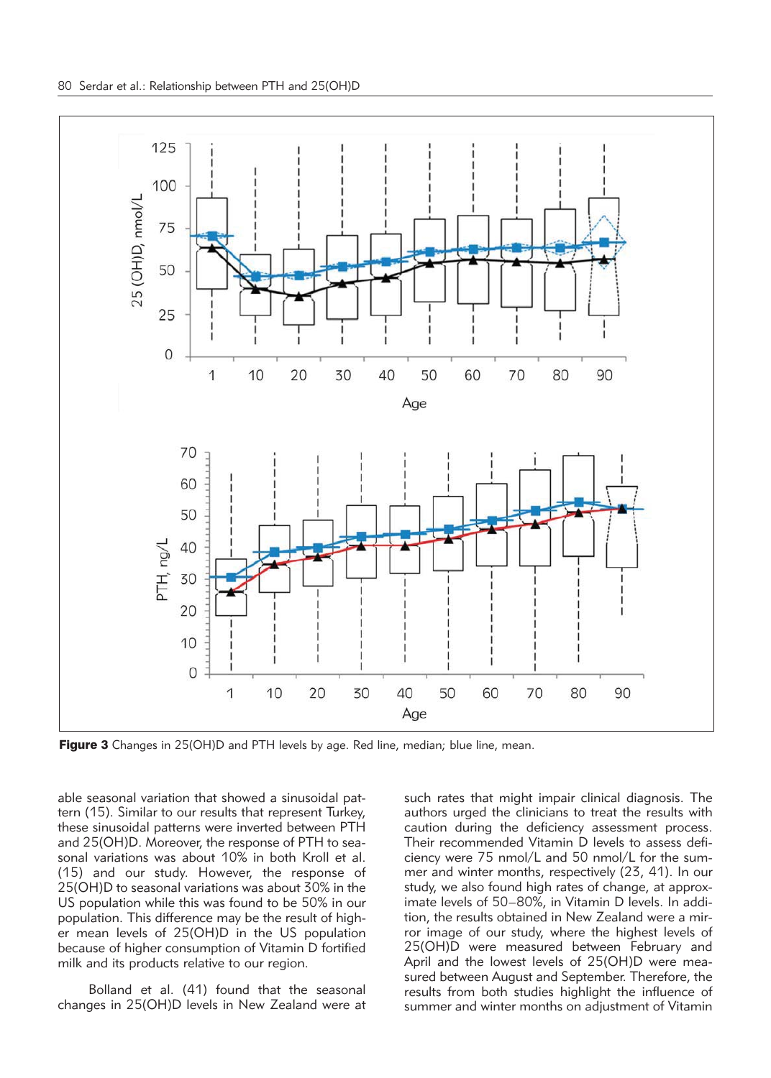

Figure 3 Changes in 25(OH)D and PTH levels by age. Red line, median; blue line, mean.

able seasonal variation that showed a sinusoidal pattern (15). Similar to our results that represent Turkey, these sinusoidal patterns were inverted between PTH and 25(OH)D. Moreover, the response of PTH to seasonal variations was about 10% in both Kroll et al. (15) and our study. However, the response of 25(OH)D to seasonal variations was about 30% in the US population while this was found to be 50% in our population. This difference may be the result of higher mean levels of 25(OH)D in the US population because of higher consumption of Vitamin D fortified milk and its products relative to our region.

Bolland et al. (41) found that the seasonal changes in 25(OH)D levels in New Zealand were at such rates that might impair clinical diagnosis. The authors urged the clinicians to treat the results with caution during the deficiency assessment process. Their recommended Vitamin D levels to assess deficiency were 75 nmol/L and 50 nmol/L for the summer and winter months, respectively (23, 41). In our study, we also found high rates of change, at approximate levels of 50–80%, in Vitamin D levels. In addition, the results obtained in New Zealand were a mirror image of our study, where the highest levels of 25(OH)D were measured between February and April and the lowest levels of 25(OH)D were measured between August and September. Therefore, the results from both studies highlight the influence of summer and winter months on adjustment of Vitamin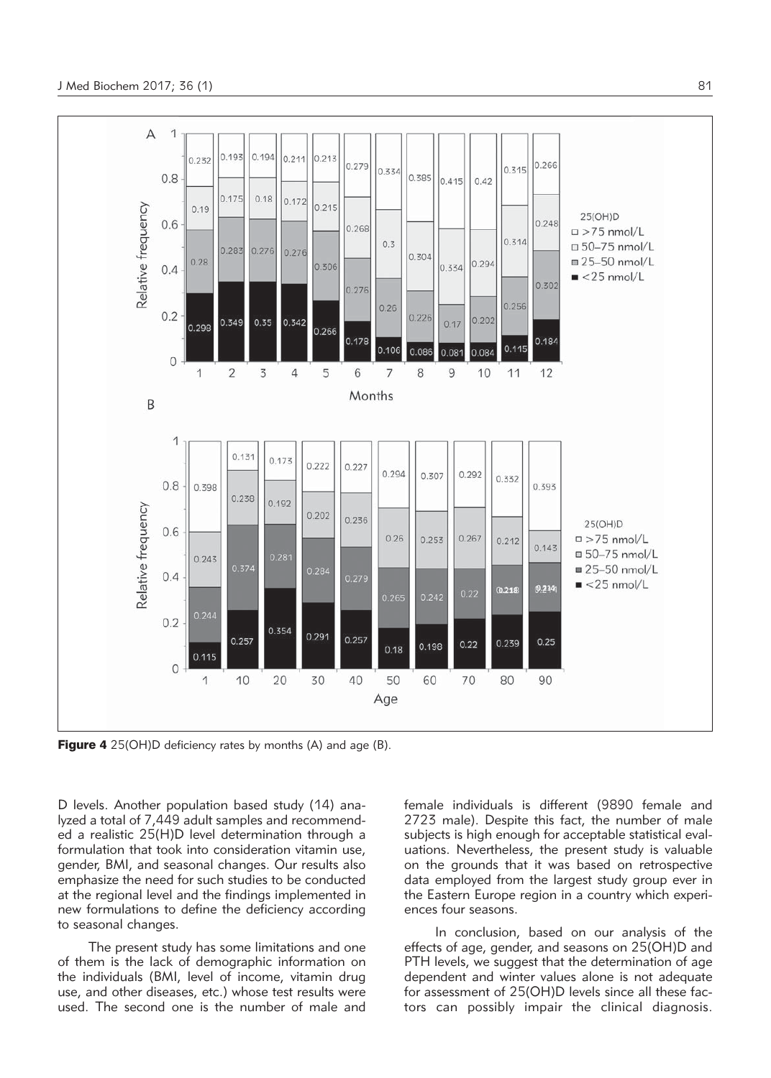

**Figure 4** 25(OH)D deficiency rates by months (A) and age (B).

D levels. Another population based study (14) analyzed a total of 7,449 adult samples and recommended a realistic 25(H)D level determination through a formulation that took into consideration vitamin use, gender, BMI, and seasonal changes. Our results also emphasize the need for such studies to be conducted at the regional level and the findings implemented in new formulations to define the deficiency according to seasonal changes.

The present study has some limitations and one of them is the lack of demographic information on the individuals (BMI, level of income, vitamin drug use, and other diseases, etc.) whose test results were used. The second one is the number of male and female individuals is different (9890 female and 2723 male). Despite this fact, the number of male subjects is high enough for acceptable statistical evaluations. Nevertheless, the present study is valuable on the grounds that it was based on retrospective data employed from the largest study group ever in the Eastern Europe region in a country which experiences four seasons.

In conclusion, based on our analysis of the effects of age, gender, and seasons on 25(OH)D and PTH levels, we suggest that the determination of age dependent and winter values alone is not adequate for assessment of 25(OH)D levels since all these factors can possibly impair the clinical diagnosis.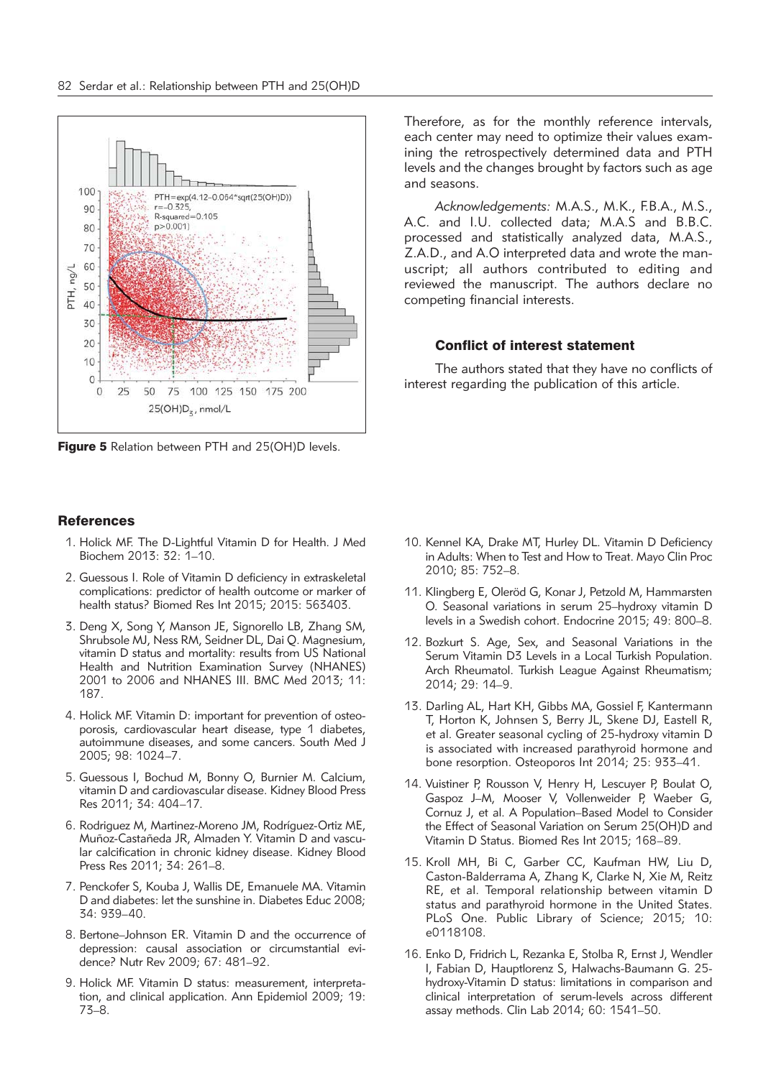

**Figure 5** Relation between PTH and 25(OH)D levels.

#### **References**

- 1. Holick MF. The D-Lightful Vitamin D for Health. J Med Biochem 2013: 32: 1–10.
- 2. Guessous I. Role of Vitamin D deficiency in extraskeletal complications: predictor of health outcome or marker of health status? Biomed Res Int 2015; 2015: 563403.
- 3. Deng X, Song Y, Manson JE, Signorello LB, Zhang SM, Shrubsole MJ, Ness RM, Seidner DL, Dai Q. Magnesium, vitamin D status and mortality: results from US National Health and Nutrition Examination Survey (NHANES) 2001 to 2006 and NHANES III. BMC Med 2013; 11: 187.
- 4. Holick MF. Vitamin D: important for prevention of osteoporosis, cardiovascular heart disease, type 1 diabetes, autoimmune diseases, and some cancers. South Med J 2005; 98: 1024–7.
- 5. Guessous I, Bochud M, Bonny O, Burnier M. Calcium, vitamin D and cardiovascular disease. Kidney Blood Press Res 2011; 34: 404–17.
- 6. Rodriguez M, Martinez-Moreno JM, Rodríguez-Ortiz ME, Muñoz-Castañeda JR, Almaden Y. Vitamin D and vascular calcification in chronic kidney disease. Kidney Blood Press Res 2011; 34: 261–8.
- 7. Penckofer S, Kouba J, Wallis DE, Emanuele MA. Vitamin D and diabetes: let the sunshine in. Diabetes Educ 2008; 34: 939–40.
- 8. Bertone–Johnson ER. Vitamin D and the occurrence of depression: causal association or circumstantial evidence? Nutr Rev 2009; 67: 481–92.
- 9. Holick MF. Vitamin D status: measurement, interpretation, and clinical application. Ann Epidemiol 2009; 19: 73–8.

Therefore, as for the monthly reference intervals, each center may need to optimize their values examining the retrospectively determined data and PTH levels and the changes brought by factors such as age and seasons.

*Acknowledgements:* M.A.S., M.K., F.B.A., M.S., A.C. and I.U. collected data; M.A.S and B.B.C. processed and statistically analyzed data, M.A.S., Z.A.D., and A.O interpreted data and wrote the manuscript; all authors contributed to editing and reviewed the manuscript. The authors declare no competing financial interests.

### Conflict of interest statement

The authors stated that they have no conflicts of interest regarding the publication of this article.

- 10. Kennel KA, Drake MT, Hurley DL. Vitamin D Deficiency in Adults: When to Test and How to Treat. Mayo Clin Proc 2010; 85: 752–8.
- 11. Klingberg E, Oleröd G, Konar J, Petzold M, Hammarsten O. Seasonal variations in serum 25–hydroxy vitamin D levels in a Swedish cohort. Endocrine 2015; 49: 800–8.
- 12. Bozkurt S. Age, Sex, and Seasonal Variations in the Serum Vitamin D3 Levels in a Local Turkish Population. Arch Rheumatol. Turkish League Against Rheumatism; 2014; 29: 14–9.
- 13. Darling AL, Hart KH, Gibbs MA, Gossiel F, Kantermann T, Horton K, Johnsen S, Berry JL, Skene DJ, Eastell R, et al. Greater seasonal cycling of 25-hydroxy vitamin D is associated with increased parathyroid hormone and bone resorption. Osteoporos Int 2014; 25: 933–41.
- 14. Vuistiner P, Rousson V, Henry H, Lescuyer P, Boulat O, Gaspoz J–M, Mooser V, Vollenweider P, Waeber G, Cornuz J, et al. A Population–Based Model to Consider the Effect of Seasonal Variation on Serum 25(OH)D and Vitamin D Status. Biomed Res Int 2015; 168–89.
- 15. Kroll MH, Bi C, Garber CC, Kaufman HW, Liu D, Caston-Balderrama A, Zhang K, Clarke N, Xie M, Reitz RE, et al. Temporal relationship between vitamin D status and parathyroid hormone in the United States. PLoS One. Public Library of Science; 2015; 10: e0118108.
- 16. Enko D, Fridrich L, Rezanka E, Stolba R, Ernst J, Wendler I, Fabian D, Hauptlorenz S, Halwachs-Baumann G. 25 hydroxy-Vitamin D status: limitations in comparison and clinical interpretation of serum-levels across different assay methods. Clin Lab 2014; 60: 1541–50.